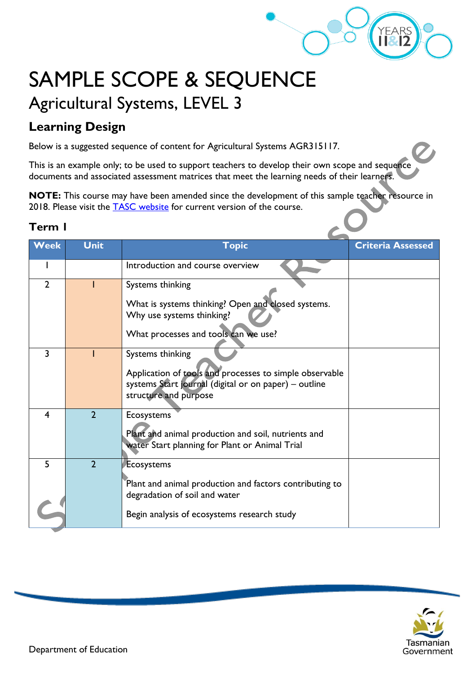

# SAMPLE SCOPE & SEQUENCE Agricultural Systems, LEVEL 3

### **Learning Design**

Below is a suggested sequence of content for Agricultural Systems AGR315117.

This is an example only; to be used to support teachers to develop their own scope and sequence documents and associated assessment matrices that meet the learning needs of their learners.

**NOTE:** This course may have been amended since the development of this sample teacher resource in 2018. Please visit the [TASC website](https://www.tasc.tas.gov.au/students/courses/a-z/) for current version of the course.

#### **Term 1**

| Week           | <b>Unit</b>    | <b>Topic</b>                                                                                                                                                  | <b>Criteria Assessed</b> |
|----------------|----------------|---------------------------------------------------------------------------------------------------------------------------------------------------------------|--------------------------|
|                |                | Introduction and course overview                                                                                                                              |                          |
| $\overline{2}$ |                | Systems thinking<br>What is systems thinking? Open and closed systems.<br>Why use systems thinking?<br>What processes and tools can we use?                   |                          |
| 3              |                | Systems thinking<br>Application of tools and processes to simple observable<br>systems Start journal (digital or on paper) - outline<br>structure and purpose |                          |
| 4              | $\overline{2}$ | Ecosystems<br>Plant and animal production and soil, nutrients and<br>water Start planning for Plant or Animal Trial                                           |                          |
| 5              | $\overline{2}$ | <b>Ecosystems</b><br>Plant and animal production and factors contributing to<br>degradation of soil and water<br>Begin analysis of ecosystems research study  |                          |

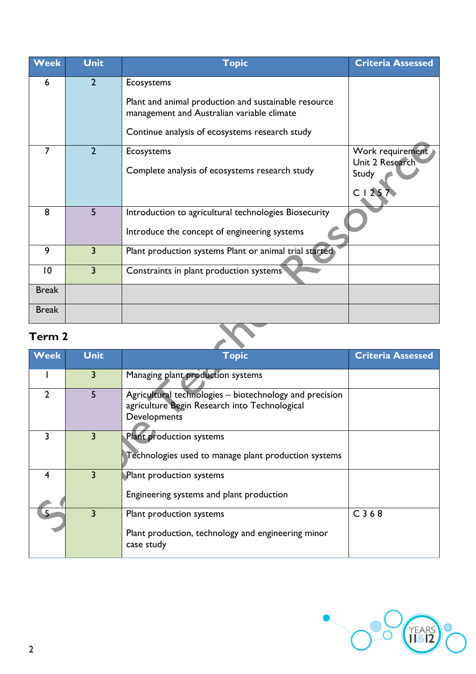| <b>Week</b>     | <b>Unit</b>    | <b>Topic</b>                                                                                          | <b>Criteria Assessed</b>                             |
|-----------------|----------------|-------------------------------------------------------------------------------------------------------|------------------------------------------------------|
| 6               | $\overline{2}$ | Ecosystems                                                                                            |                                                      |
|                 |                | Plant and animal production and sustainable resource<br>management and Australian variable climate    |                                                      |
|                 |                | Continue analysis of ecosystems research study                                                        |                                                      |
| 7               | $\overline{2}$ | <b>Ecosystems</b><br>Complete analysis of ecosystems research study                                   | Work requirement<br>Unit 2 Research<br>Study<br>C125 |
| 8               | 5              | Introduction to agricultural technologies Biosecurity<br>Introduce the concept of engineering systems |                                                      |
| 9               | 3              | Plant production systems Plant or animal trial started                                                |                                                      |
| $\overline{10}$ | 3              | Constraints in plant production systems                                                               |                                                      |
| <b>Break</b>    |                |                                                                                                       |                                                      |
| <b>Break</b>    |                |                                                                                                       |                                                      |

### **Term 2**

| Term 2         |                |                                                                                                                          |                          |
|----------------|----------------|--------------------------------------------------------------------------------------------------------------------------|--------------------------|
| Week           | <b>Unit</b>    | <b>Topic</b>                                                                                                             | <b>Criteria Assessed</b> |
|                | 3              | Managing plant production systems                                                                                        |                          |
| $\overline{2}$ | 5              | Agricultural technologies – biotechnology and precision<br>agriculture Begin Research into Technological<br>Developments |                          |
| 3              | $\overline{3}$ | Plant production systems<br>Technologies used to manage plant production systems                                         |                          |
| 4              | $\overline{3}$ | Plant production systems<br>Engineering systems and plant production                                                     |                          |
| -5             | $\overline{3}$ | Plant production systems<br>Plant production, technology and engineering minor<br>case study                             | C <sub>368</sub>         |

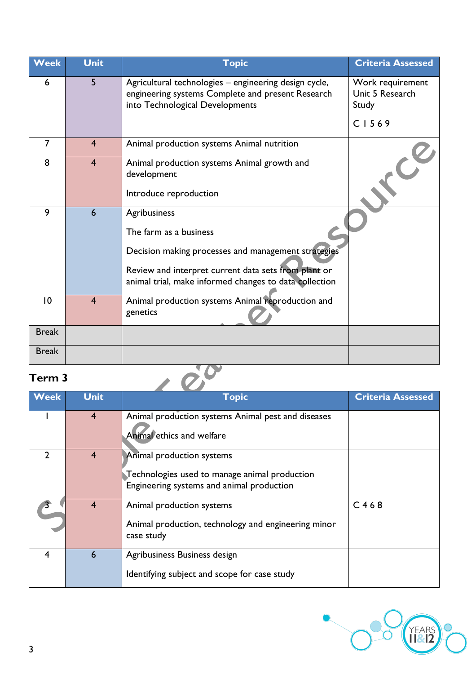| Week           | <b>Unit</b>    | <b>Topic</b>                                                                                                                                                                                                    | <b>Criteria Assessed</b>                              |  |
|----------------|----------------|-----------------------------------------------------------------------------------------------------------------------------------------------------------------------------------------------------------------|-------------------------------------------------------|--|
| 6              | 5              | Agricultural technologies - engineering design cycle,<br>engineering systems Complete and present Research<br>into Technological Developments                                                                   | Work requirement<br>Unit 5 Research<br>Study<br>C1569 |  |
| $\overline{7}$ | $\overline{4}$ | Animal production systems Animal nutrition                                                                                                                                                                      |                                                       |  |
| 8              | $\overline{4}$ | Animal production systems Animal growth and<br>development<br>Introduce reproduction                                                                                                                            |                                                       |  |
| 9              | 6              | Agribusiness<br>The farm as a business<br>Decision making processes and management strategies<br>Review and interpret current data sets from plant or<br>animal trial, make informed changes to data collection |                                                       |  |
| 10             | $\overline{4}$ | Animal production systems Animal reproduction and<br>genetics                                                                                                                                                   |                                                       |  |
| <b>Break</b>   |                |                                                                                                                                                                                                                 |                                                       |  |
| <b>Break</b>   |                |                                                                                                                                                                                                                 |                                                       |  |
| <b>Term 3</b>  |                |                                                                                                                                                                                                                 |                                                       |  |

## **Term 3**

| <b>Week</b> | <b>Unit</b>     | <b>Topic</b>                                                                                                            | <b>Criteria Assessed</b> |
|-------------|-----------------|-------------------------------------------------------------------------------------------------------------------------|--------------------------|
|             | $\overline{4}$  | Animal production systems Animal pest and diseases<br>Animal ethics and welfare                                         |                          |
|             | $\overline{4}$  | Animal production systems<br>Technologies used to manage animal production<br>Engineering systems and animal production |                          |
|             | 4               | Animal production systems<br>Animal production, technology and engineering minor<br>case study                          | C <sub>468</sub>         |
| 4           | $6\overline{6}$ | Agribusiness Business design<br>Identifying subject and scope for case study                                            |                          |

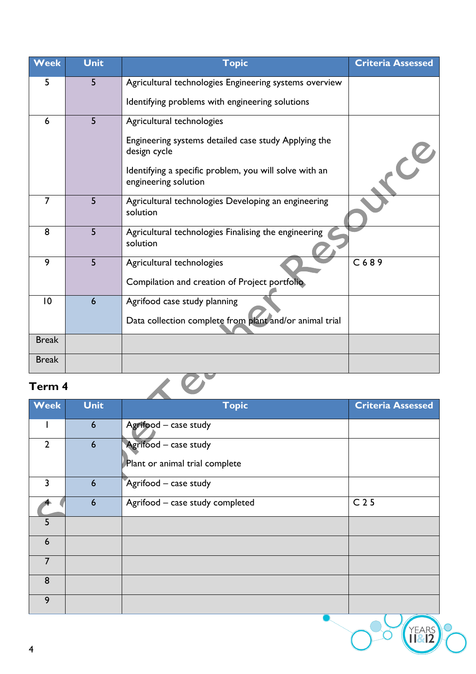| <b>Week</b>     | <b>Unit</b> | <b>Topic</b>                                                                   | <b>Criteria Assessed</b> |
|-----------------|-------------|--------------------------------------------------------------------------------|--------------------------|
| 5               | 5           | Agricultural technologies Engineering systems overview                         |                          |
|                 |             | Identifying problems with engineering solutions                                |                          |
| 6               | 5           | Agricultural technologies                                                      |                          |
|                 |             | Engineering systems detailed case study Applying the<br>design cycle           | $\mathcal{C}^2$          |
|                 |             | Identifying a specific problem, you will solve with an<br>engineering solution |                          |
| 7               | 5           | Agricultural technologies Developing an engineering<br>solution                |                          |
| 8               | 5           | Agricultural technologies Finalising the engineering<br>solution               |                          |
| 9               | 5           | Agricultural technologies                                                      | C689                     |
|                 |             | Compilation and creation of Project portfolio.                                 |                          |
| $\overline{10}$ | 6           | Agrifood case study planning                                                   |                          |
|                 |             | Data collection complete from plant and/or animal trial                        |                          |
| <b>Break</b>    |             |                                                                                |                          |
| <b>Break</b>    |             |                                                                                |                          |

### **Term 4**

| Term 4                  |                 |                                                         |                          |
|-------------------------|-----------------|---------------------------------------------------------|--------------------------|
| <b>Week</b>             | <b>Unit</b>     | <b>Topic</b>                                            | <b>Criteria Assessed</b> |
|                         | $6\phantom{1}6$ | Agrifood - case study                                   |                          |
| $\overline{2}$          | $6\phantom{1}6$ | Agrifood - case study<br>Plant or animal trial complete |                          |
| $\overline{3}$          | $6\phantom{1}6$ | Agrifood - case study                                   |                          |
|                         | $6\overline{6}$ | Agrifood - case study completed                         | C <sub>2</sub> 5         |
| 5                       |                 |                                                         |                          |
| 6                       |                 |                                                         |                          |
| $\overline{7}$          |                 |                                                         |                          |
| 8                       |                 |                                                         |                          |
| 9                       |                 |                                                         |                          |
| $\overline{\mathbf{4}}$ |                 |                                                         | <b>FARS</b>              |